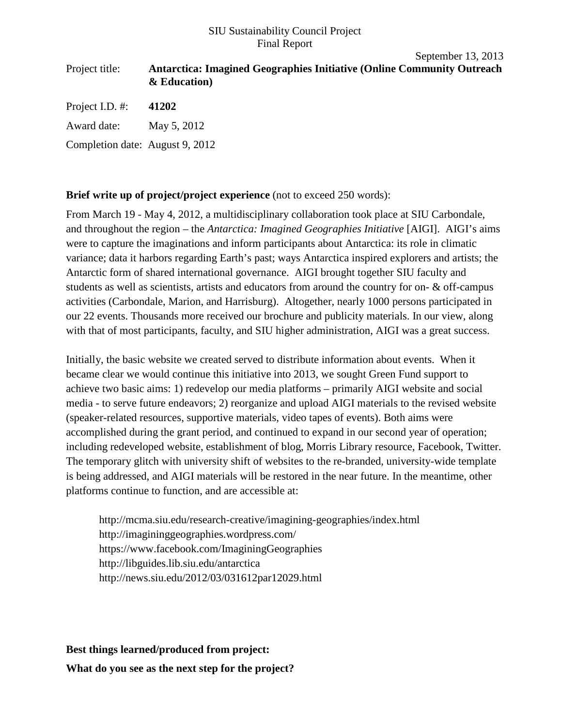## SIU Sustainability Council Project Final Report

## September 13, 2013 Project title: **Antarctica: Imagined Geographies Initiative (Online Community Outreach & Education)**  Project I.D. #: **41202** Award date: May 5, 2012 Completion date: August 9, 2012

**Brief write up of project/project experience** (not to exceed 250 words):

From March 19 - May 4, 2012, a multidisciplinary collaboration took place at SIU Carbondale, and throughout the region – the *Antarctica: Imagined Geographies Initiative* [AIGI]. AIGI's aims were to capture the imaginations and inform participants about Antarctica: its role in climatic variance; data it harbors regarding Earth's past; ways Antarctica inspired explorers and artists; the Antarctic form of shared international governance. AIGI brought together SIU faculty and students as well as scientists, artists and educators from around the country for on- & off-campus activities (Carbondale, Marion, and Harrisburg). Altogether, nearly 1000 persons participated in our 22 events. Thousands more received our brochure and publicity materials. In our view, along with that of most participants, faculty, and SIU higher administration, AIGI was a great success.

Initially, the basic website we created served to distribute information about events. When it became clear we would continue this initiative into 2013, we sought Green Fund support to achieve two basic aims: 1) redevelop our media platforms – primarily AIGI website and social media - to serve future endeavors; 2) reorganize and upload AIGI materials to the revised website (speaker-related resources, supportive materials, video tapes of events). Both aims were accomplished during the grant period, and continued to expand in our second year of operation; including redeveloped website, establishment of blog, Morris Library resource, Facebook, Twitter. The temporary glitch with university shift of websites to the re-branded, university-wide template is being addressed, and AIGI materials will be restored in the near future. In the meantime, other platforms continue to function, and are accessible at:

http://mcma.siu.edu/research-creative/imagining-geographies/index.html http://imagininggeographies.wordpress.com/ https://www.facebook.com/ImaginingGeographies http://libguides.lib.siu.edu/antarctica http://news.siu.edu/2012/03/031612par12029.html

**Best things learned/produced from project: What do you see as the next step for the project?**